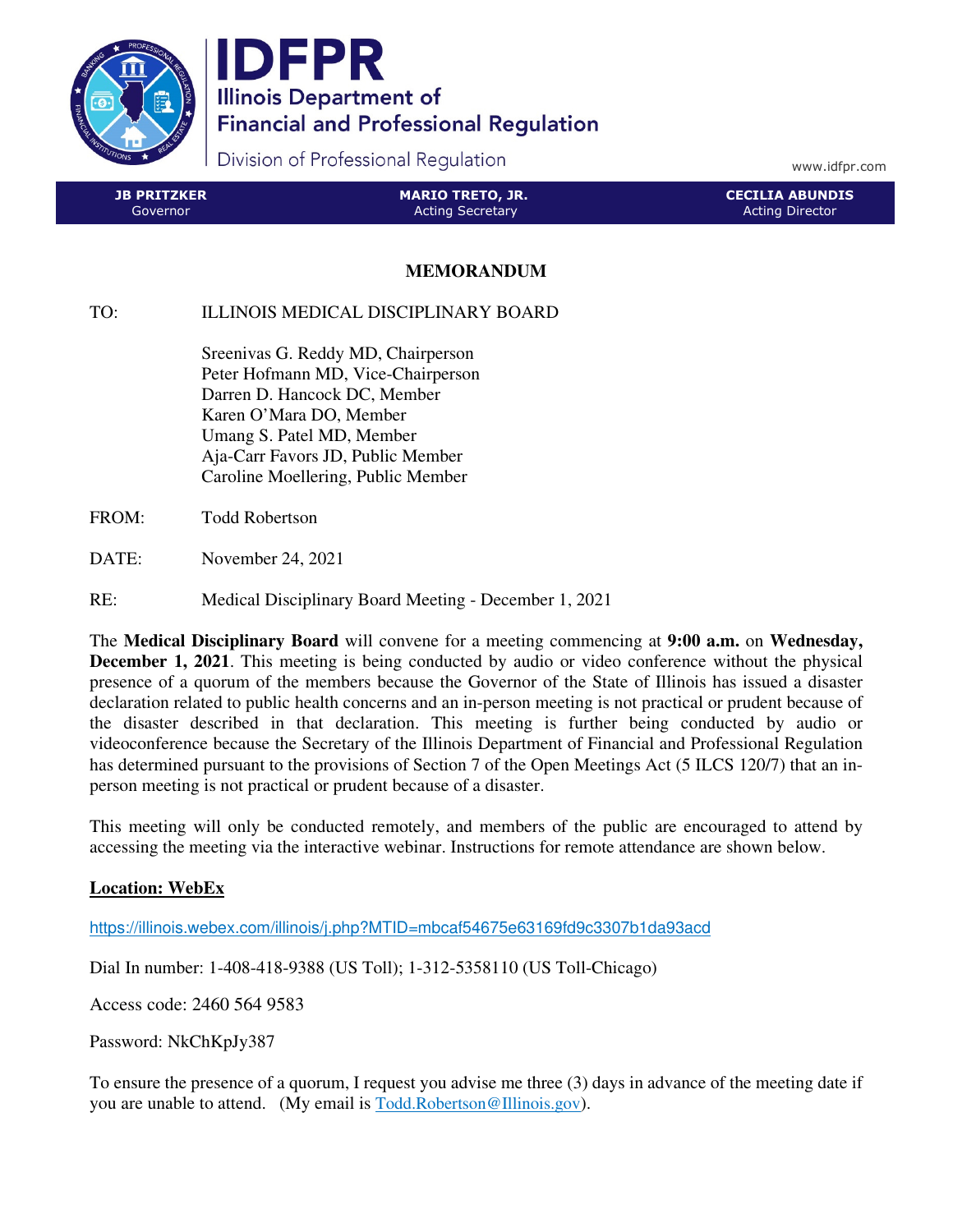

IDFPR **Illinois Department of Financial and Professional Regulation** 

Division of Professional Regulation

www.idfpr.com

| <b>JB PRITZKER</b> | <b>MARIO TRETO, JR.</b> | <b>CECILIA ABUNDIS</b> |
|--------------------|-------------------------|------------------------|
| Governor           | <b>Acting Secretary</b> | Acting Director        |

## **MEMORANDUM**

TO: ILLINOIS MEDICAL DISCIPLINARY BOARD

 Sreenivas G. Reddy MD, Chairperson Peter Hofmann MD, Vice-Chairperson Darren D. Hancock DC, Member Karen O'Mara DO, Member Umang S. Patel MD, Member Aja-Carr Favors JD, Public Member Caroline Moellering, Public Member

FROM: Todd Robertson

DATE: November 24, 2021

RE: Medical Disciplinary Board Meeting - December 1, 2021

The **Medical Disciplinary Board** will convene for a meeting commencing at **9:00 a.m.** on **Wednesday, December 1, 2021**. This meeting is being conducted by audio or video conference without the physical presence of a quorum of the members because the Governor of the State of Illinois has issued a disaster declaration related to public health concerns and an in-person meeting is not practical or prudent because of the disaster described in that declaration. This meeting is further being conducted by audio or videoconference because the Secretary of the Illinois Department of Financial and Professional Regulation has determined pursuant to the provisions of Section 7 of the Open Meetings Act (5 ILCS 120/7) that an inperson meeting is not practical or prudent because of a disaster.

This meeting will only be conducted remotely, and members of the public are encouraged to attend by accessing the meeting via the interactive webinar. Instructions for remote attendance are shown below.

## **Location: WebEx**

https://illinois.webex.com/illinois/j.php?MTID=mbcaf54675e63169fd9c3307b1da93acd

Dial In number: 1-408-418-9388 (US Toll); 1-312-5358110 (US Toll-Chicago)

Access code: 2460 564 9583

Password: NkChKpJy387

To ensure the presence of a quorum, I request you advise me three (3) days in advance of the meeting date if you are unable to attend. (My email is Todd.Robertson@Illinois.gov).